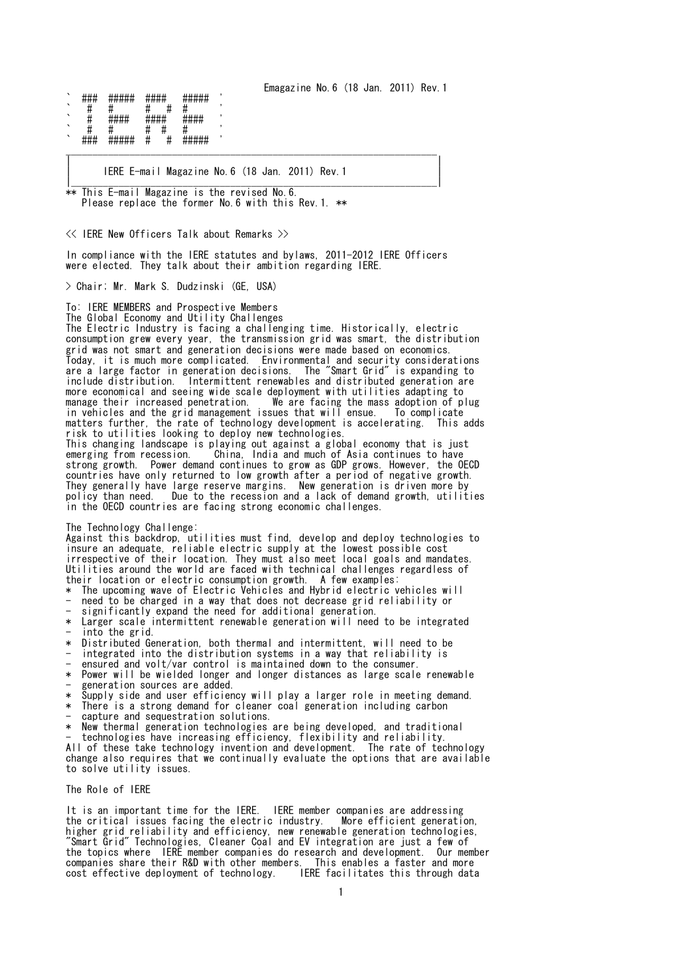Emagazine No.6 (18 Jan. 2011) Rev.1

` ### ##### #### ##### ' ` # # # # # ' ##### ##### ` # # # # # ' ` ### ##### # # ##### ' \_\_\_\_\_\_\_\_\_\_\_\_\_\_\_\_\_\_\_\_\_\_\_\_\_\_\_\_\_\_\_\_\_\_\_\_\_\_\_\_\_\_\_\_\_\_\_\_\_\_\_\_\_\_\_\_\_\_\_\_\_\_\_\_\_\_\_\_\_\_

| IERE E-mail Magazine No.6 (18 Jan. 2011) Rev.1 | |\_\_\_\_\_\_\_\_\_\_\_\_\_\_\_\_\_\_\_\_\_\_\_\_\_\_\_\_\_\_\_\_\_\_\_\_\_\_\_\_\_\_\_\_\_\_\_\_\_\_\_\_\_\_\_\_\_\_\_\_\_\_\_\_\_\_\_\_\_|

\*\* This E-mail Magazine is the revised No.6. Please replace the former No.6 with this Rev.1. \*\*

<< IERE New Officers Talk about Remarks >>

In compliance with the IERE statutes and bylaws, 2011-2012 IERE Officers were elected. They talk about their ambition regarding IERE.

| |

> Chair; Mr. Mark S. Dudzinski (GE, USA)

To: IERE MEMBERS and Prospective Members

The Global Economy and Utility Challenges The Electric Industry is facing a challenging time. Historically, electric consumption grew every year, the transmission grid was smart, the distribution grid was not smart and generation decisions were made based on economics. Today, it is much more complicated. Environmental and security considerations are a large factor in generation decisions. The "Smart Grid" is expanding to include distribution. Intermittent renewables and distributed generation are more economical and seeing wide scale deployment with utilities adapting to manage their increased penetration. We are facing the mass adoption of p We are facing the mass adoption of plug<br>ssues that will ensue. To complicate in vehicles and the grid management issues that will ensue. matters further, the rate of technology development is accelerating. This adds risk to utilities looking to deploy new technologies. This changing landscape is playing out against a global economy that is just emerging from recession. China, India and much of Asia continues to have strong growth. Power demand continues to grow as GDP grows. However, the OECD countries have only returned to low growth after a period of negative growth. They generally have large reserve margins. New generation is driven more by policy than need. Due to the recession and a lack of demand growth, utilities in the OECD countries are facing strong economic challenges.

The Technology Challenge:

Against this backdrop, utilities must find, develop and deploy technologies to insure an adequate, reliable electric supply at the lowest possible cost irrespective of their location. They must also meet local goals and mandates. Utilities around the world are faced with technical challenges regardless of their location or electric consumption growth. A few examples:

\* The upcoming wave of Electric Vehicles and Hybrid electric vehicles will need to be charged in a way that does not decrease grid reliability or

significantly expand the need for additional generation.

- \* Larger scale intermittent renewable generation will need to be integrated into the grid.
- \* Distributed Generation, both thermal and intermittent, will need to be
- integrated into the distribution systems in a way that reliability is
- ensured and volt/var control is maintained down to the consumer.

\* Power will be wielded longer and longer distances as large scale renewable generation sources are added.

- \* Supply side and user efficiency will play a larger role in meeting demand.
- \* There is a strong demand for cleaner coal generation including carbon
- capture and sequestration solutions.
- \* New thermal generation technologies are being developed, and traditional
- technologies have increasing efficiency, flexibility and reliability.

All of these take technology invention and development. The rate of technology change also requires that we continually evaluate the options that are available to solve utility issues.

## The Role of IERE

It is an important time for the IERE. IERE member companies are addressing the critical issues facing the electric industry. higher grid reliability and efficiency, new renewable generation technologies, "Smart Grid" Technologies, Cleaner Coal and EV integration are just a few of the topics where IERE member companies do research and development. Our member companies share their R&D with other members. This enables a faster and more cost effective deployment of technology. IERE facilitates this through data cost effective deployment of technology.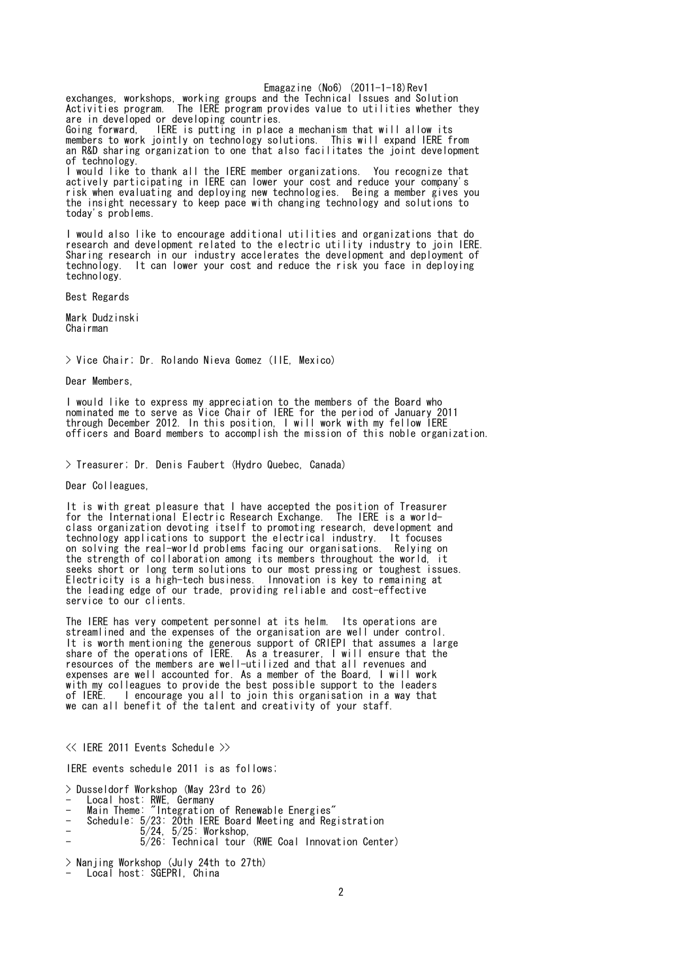Emagazine $(No6)$   $(2011-1-18)$ Rev1 exchanges, workshops, working groups and the Technical Issues and Solution Activities program. The IERE program provides value to utilities whether they are in developed or developing countries. Going forward, IERE is putting in place a mechanism that will allow its members to work jointly on technology solutions. This will expand IERE from an R&D sharing organization to one that also facilitates the joint development of technology. I would like to thank all the IERE member organizations. You recognize that actively participating in IERE can lower your cost and reduce your company's risk when evaluating and deploying new technologies. Being a member gives you the insight necessary to keep pace with changing technology and solutions to today's problems.

I would also like to encourage additional utilities and organizations that do research and development related to the electric utility industry to join IERE. Sharing research in our industry accelerates the development and deployment of technology. It can lower your cost and reduce the risk you face in deploying It can lower your cost and reduce the risk you face in deploying technology.

Best Regards

Mark Dudzinski Chairman

> Vice Chair; Dr. Rolando Nieva Gomez (IIE, Mexico)

Dear Members,

I would like to express my appreciation to the members of the Board who nominated me to serve as Vice Chair of IERE for the period of January 2011 through December 2012. In this position, I will work with my fellow IERE officers and Board members to accomplish the mission of this noble organization.

> Treasurer; Dr. Denis Faubert (Hydro Quebec, Canada)

Dear Colleagues,

It is with great pleasure that I have accepted the position of Treasurer for the International Electric Research Exchange. The IERE is a worldclass organization devoting itself to promoting research, development and technology applications to support the electrical industry. It focuses on solving the real-world problems facing our organisations. Relying on the strength of collaboration among its members throughout the world, it seeks short or long term solutions to our most pressing or toughest issues. Electricity is a high-tech business. Innovation is key to remaining at the leading edge of our trade, providing reliable and cost-effective service to our clients.

The IERE has very competent personnel at its helm. Its operations are streamlined and the expenses of the organisation are well under control. It is worth mentioning the generous support of CRIEPI that assumes a large share of the operations of IERE. As a treasurer, I will ensure that the resources of the members are well-utilized and that all revenues and expenses are well accounted for. As a member of the Board, I will work with my colleagues to provide the best possible support to the leaders<br>of IERE. I encourage you all to join this organisation in a way that I encourage you all to join this organisation in a way that we can all benefit of the talent and creativity of your staff.

<< IERE 2011 Events Schedule >>

IERE events schedule 2011 is as follows;

> Dusseldorf Workshop (May 23rd to 26)

- Local host: RWE, Germany
- Main Theme: "Integration of Renewable Energies"
- Schedule: 5/23: 20th IERE Board Meeting and Registration
- 5/24, 5/25: Workshop,
- 5/26: Technical tour (RWE Coal Innovation Center)

> Nanjing Workshop (July 24th to 27th)

- Local host: SGEPRI, China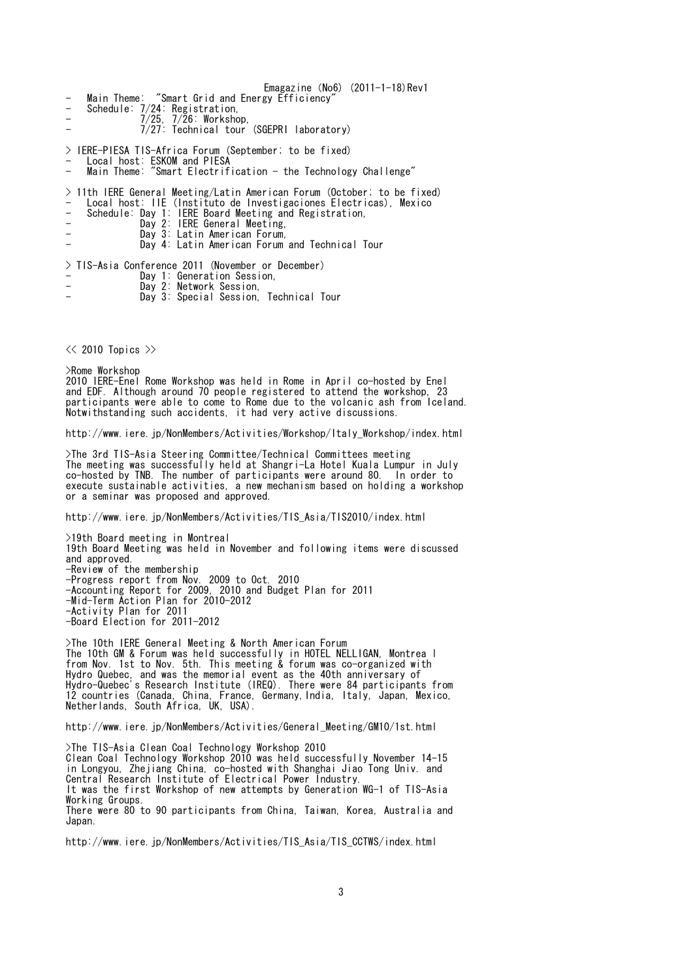Emagazine $(No6)$   $(2011-1-18)$ Rev1 Main Theme: "Smart Grid and Energy Efficiency' Main ineme.<br>Schedule: 7/24: Registration, - 7/25, 7/26: Workshop, - 7/27: Technical tour (SGEPRI laboratory) > IERE-PIESA TIS-Africa Forum (September; to be fixed) - Local host: ESKOM and PIESA - Main Theme: "Smart Electrification - the Technology Challenge" > 11th IERE General Meeting/Latin American Forum (October; to be fixed) - Local host: IIE (Instituto de Investigaciones Electricas), Mexico - Schedule: Day 1: IERE Board Meeting and Registration, - Day 2: IERE General Meeting, - Day 3: Latin American Forum, Day 4: Latin American Forum and Technical Tour > TIS-Asia Conference 2011 (November or December) - Day 1: Generation Session, - Day 2: Network Session,

Day 3: Special Session, Technical Tour

 $\ll$  2010 Topics  $\gg$ 

>Rome Workshop 2010 IERE-Enel Rome Workshop was held in Rome in April co-hosted by Enel and EDF. Although around 70 people registered to attend the workshop, 23 participants were able to come to Rome due to the volcanic ash from Iceland. Notwithstanding such accidents, it had very active discussions.

http://www.iere.jp/NonMembers/Activities/Workshop/Italy\_Workshop/index.html

>The 3rd TIS-Asia Steering Committee/Technical Committees meeting The meeting was successfully held at Shangri-La Hotel Kuala Lumpur in July co-hosted by TNB. The number of participants were around 80. In order to execute sustainable activities, a new mechanism based on holding a workshop or a seminar was proposed and approved.

http://www.iere.jp/NonMembers/Activities/TIS\_Asia/TIS2010/index.html

>19th Board meeting in Montreal 19th Board Meeting was held in November and following items were discussed and approved. -Review of the membership -Progress report from Nov. 2009 to Oct. 2010 -Accounting Report for 2009, 2010 and Budget Plan for 2011 -Mid-Term Action Plan for 2010-2012 -Activity Plan for 2011 -Board Election for 2011-2012

>The 10th IERE General Meeting & North American Forum The 10th GM & Forum was held successfully in HOTEL NELLIGAN, Montrea l from Nov. 1st to Nov. 5th. This meeting & forum was co-organized with Hydro Quebec, and was the memorial event as the 40th anniversary of Hydro-Quebec's Research Institute (IREQ). There were 84 participants from 12 countries (Canada, China, France, Germany,India, Italy, Japan, Mexico, Netherlands, South Africa, UK, USA).

http://www.iere.jp/NonMembers/Activities/General\_Meeting/GM10/1st.html

>The TIS-Asia Clean Coal Technology Workshop 2010 Clean Coal Technology Workshop 2010 was held successfully November 14-15 in Longyou, Zhejiang China, co-hosted with Shanghai Jiao Tong Univ. and Central Research Institute of Electrical Power Industry. It was the first Workshop of new attempts by Generation WG-1 of TIS-Asia Working Groups. There were 80 to 90 participants from China, Taiwan, Korea, Australia and Japan.

http://www.iere.jp/NonMembers/Activities/TIS\_Asia/TIS\_CCTWS/index.html